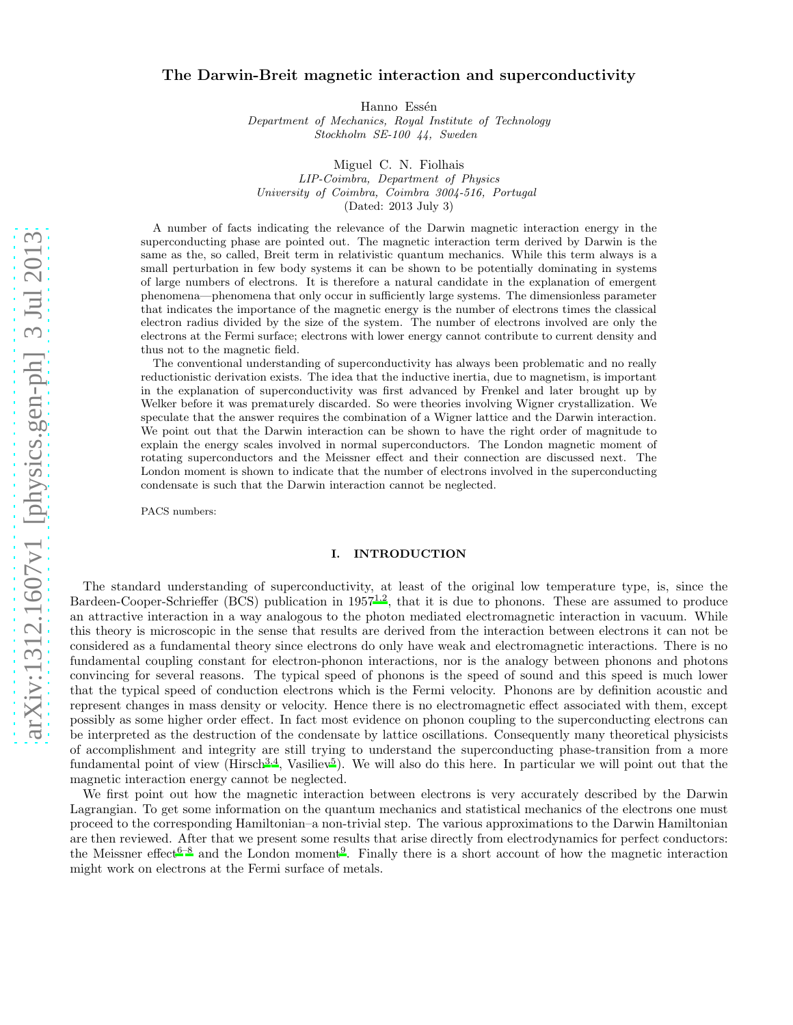# arXiv:1312.1607v1 [physics.gen-ph] 3 Jul 2013 [arXiv:1312.1607v1 \[physics.gen-ph\] 3 Jul 2013](http://arxiv.org/abs/1312.1607v1)

# The Darwin-Breit magnetic interaction and superconductivity

Hanno Essén

*Department of Mechanics, Royal Institute of Technology Stockholm SE-100 44, Sweden*

Miguel C. N. Fiolhais *LIP-Coimbra, Department of Physics University of Coimbra, Coimbra 3004-516, Portugal* (Dated: 2013 July 3)

A number of facts indicating the relevance of the Darwin magnetic interaction energy in the superconducting phase are pointed out. The magnetic interaction term derived by Darwin is the same as the, so called, Breit term in relativistic quantum mechanics. While this term always is a small perturbation in few body systems it can be shown to be potentially dominating in systems of large numbers of electrons. It is therefore a natural candidate in the explanation of emergent phenomena—phenomena that only occur in sufficiently large systems. The dimensionless parameter that indicates the importance of the magnetic energy is the number of electrons times the classical electron radius divided by the size of the system. The number of electrons involved are only the electrons at the Fermi surface; electrons with lower energy cannot contribute to current density and thus not to the magnetic field.

The conventional understanding of superconductivity has always been problematic and no really reductionistic derivation exists. The idea that the inductive inertia, due to magnetism, is important in the explanation of superconductivity was first advanced by Frenkel and later brought up by Welker before it was prematurely discarded. So were theories involving Wigner crystallization. We speculate that the answer requires the combination of a Wigner lattice and the Darwin interaction. We point out that the Darwin interaction can be shown to have the right order of magnitude to explain the energy scales involved in normal superconductors. The London magnetic moment of rotating superconductors and the Meissner effect and their connection are discussed next. The London moment is shown to indicate that the number of electrons involved in the superconducting condensate is such that the Darwin interaction cannot be neglected.

PACS numbers:

## I. INTRODUCTION

The standard understanding of superconductivity, at least of the original low temperature type, is, since the Bardeen-Cooper-Schrieffer (BCS) publication in  $1957^{1,2}$  $1957^{1,2}$  $1957^{1,2}$  $1957^{1,2}$ , that it is due to phonons. These are assumed to produce an attractive interaction in a way analogous to the photon mediated electromagnetic interaction in vacuum. While this theory is microscopic in the sense that results are derived from the interaction between electrons it can not be considered as a fundamental theory since electrons do only have weak and electromagnetic interactions. There is no fundamental coupling constant for electron-phonon interactions, nor is the analogy between phonons and photons convincing for several reasons. The typical speed of phonons is the speed of sound and this speed is much lower that the typical speed of conduction electrons which is the Fermi velocity. Phonons are by definition acoustic and represent changes in mass density or velocity. Hence there is no electromagnetic effect associated with them, except possibly as some higher order effect. In fact most evidence on phonon coupling to the superconducting electrons can be interpreted as the destruction of the condensate by lattice oscillations. Consequently many theoretical physicists of accomplishment and integrity are still trying to understand the superconducting phase-transition from a more fundamental point of view ( $Hirsch<sup>3,4</sup>$  $Hirsch<sup>3,4</sup>$  $Hirsch<sup>3,4</sup>$  $Hirsch<sup>3,4</sup>$ , Vasiliev<sup>[5](#page-3-4)</sup>). We will also do this here. In particular we will point out that the magnetic interaction energy cannot be neglected.

We first point out how the magnetic interaction between electrons is very accurately described by the Darwin Lagrangian. To get some information on the quantum mechanics and statistical mechanics of the electrons one must proceed to the corresponding Hamiltonian–a non-trivial step. The various approximations to the Darwin Hamiltonian are then reviewed. After that we present some results that arise directly from electrodynamics for perfect conductors: the Meissner effect<sup>[6](#page-3-5)[–8](#page-3-6)</sup> and the London moment<sup>[9](#page-3-7)</sup>. Finally there is a short account of how the magnetic interaction might work on electrons at the Fermi surface of metals.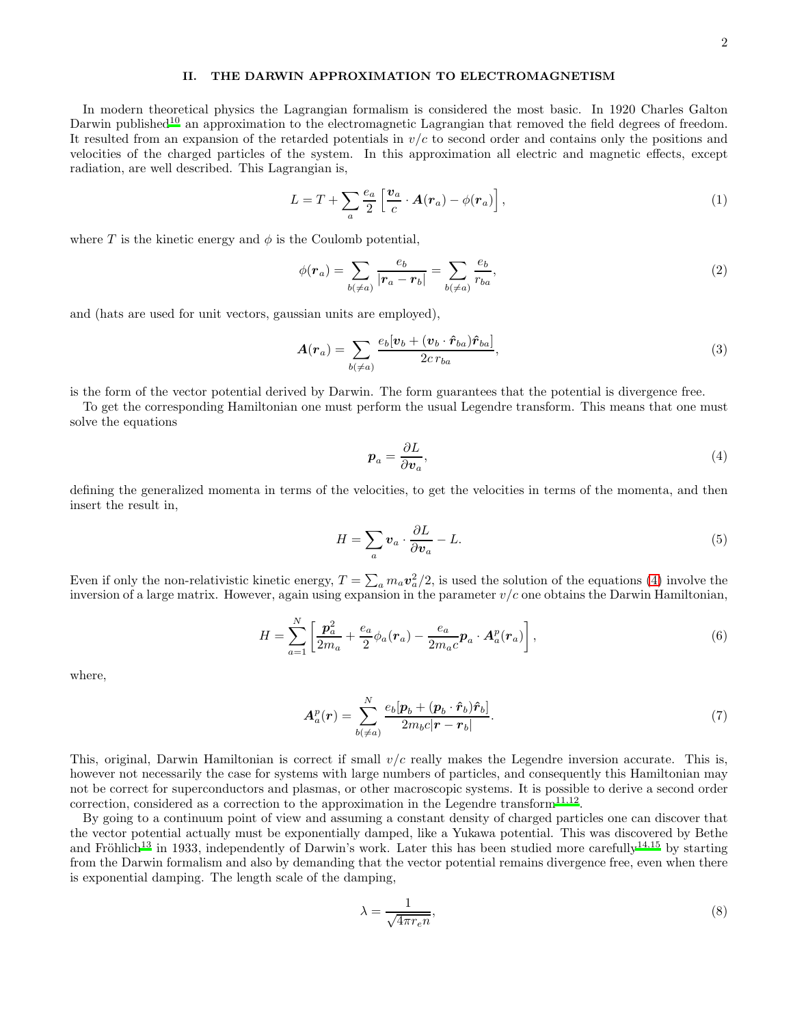### II. THE DARWIN APPROXIMATION TO ELECTROMAGNETISM

In modern theoretical physics the Lagrangian formalism is considered the most basic. In 1920 Charles Galton Darwin published<sup>[10](#page-3-8)</sup> an approximation to the electromagnetic Lagrangian that removed the field degrees of freedom. It resulted from an expansion of the retarded potentials in  $v/c$  to second order and contains only the positions and velocities of the charged particles of the system. In this approximation all electric and magnetic effects, except radiation, are well described. This Lagrangian is,

<span id="page-1-2"></span>
$$
L = T + \sum_{a} \frac{e_a}{2} \left[ \frac{v_a}{c} \cdot \mathbf{A}(\mathbf{r}_a) - \phi(\mathbf{r}_a) \right],
$$
\n(1)

where T is the kinetic energy and  $\phi$  is the Coulomb potential,

$$
\phi(\mathbf{r}_a) = \sum_{b(\neq a)} \frac{e_b}{|\mathbf{r}_a - \mathbf{r}_b|} = \sum_{b(\neq a)} \frac{e_b}{r_{ba}},\tag{2}
$$

and (hats are used for unit vectors, gaussian units are employed),

$$
A(r_a) = \sum_{b(\neq a)} \frac{e_b[v_b + (v_b \cdot \hat{r}_{ba})\hat{r}_{ba}]}{2cr_{ba}},
$$
\n(3)

is the form of the vector potential derived by Darwin. The form guarantees that the potential is divergence free.

To get the corresponding Hamiltonian one must perform the usual Legendre transform. This means that one must solve the equations

<span id="page-1-0"></span>
$$
p_a = \frac{\partial L}{\partial v_a},\tag{4}
$$

defining the generalized momenta in terms of the velocities, to get the velocities in terms of the momenta, and then insert the result in,

$$
H = \sum_{a} \mathbf{v}_a \cdot \frac{\partial L}{\partial \mathbf{v}_a} - L. \tag{5}
$$

Even if only the non-relativistic kinetic energy,  $T = \sum_a m_a \mathbf{v}_a^2/2$ , is used the solution of the equations [\(4\)](#page-1-0) involve the inversion of a large matrix. However, again using expansion in the parameter  $v/c$  one obtains the Darwin Hamiltonian,

<span id="page-1-3"></span>
$$
H = \sum_{a=1}^{N} \left[ \frac{\boldsymbol{p}_a^2}{2m_a} + \frac{e_a}{2} \phi_a(\boldsymbol{r}_a) - \frac{e_a}{2m_a c} \boldsymbol{p}_a \cdot \boldsymbol{A}_a^p(\boldsymbol{r}_a) \right],
$$
\n(6)

where,

$$
\boldsymbol{A}_a^p(\boldsymbol{r}) = \sum_{b(\neq a)}^N \frac{e_b[\boldsymbol{p}_b + (\boldsymbol{p}_b \cdot \hat{\boldsymbol{r}}_b)\hat{\boldsymbol{r}}_b]}{2m_b c|\boldsymbol{r} - \boldsymbol{r}_b|}.
$$
(7)

This, original, Darwin Hamiltonian is correct if small  $v/c$  really makes the Legendre inversion accurate. This is, however not necessarily the case for systems with large numbers of particles, and consequently this Hamiltonian may not be correct for superconductors and plasmas, or other macroscopic systems. It is possible to derive a second order correction, considered as a correction to the approximation in the Legendre transform $^{11,12}$  $^{11,12}$  $^{11,12}$  $^{11,12}$ .

By going to a continuum point of view and assuming a constant density of charged particles one can discover that the vector potential actually must be exponentially damped, like a Yukawa potential. This was discovered by Bethe and Fröhlich<sup>[13](#page-4-2)</sup> in 1933, independently of Darwin's work. Later this has been studied more carefully<sup>[14](#page-4-3)[,15](#page-4-4)</sup> by starting from the Darwin formalism and also by demanding that the vector potential remains divergence free, even when there is exponential damping. The length scale of the damping,

<span id="page-1-1"></span>
$$
\lambda = \frac{1}{\sqrt{4\pi r_e n}},\tag{8}
$$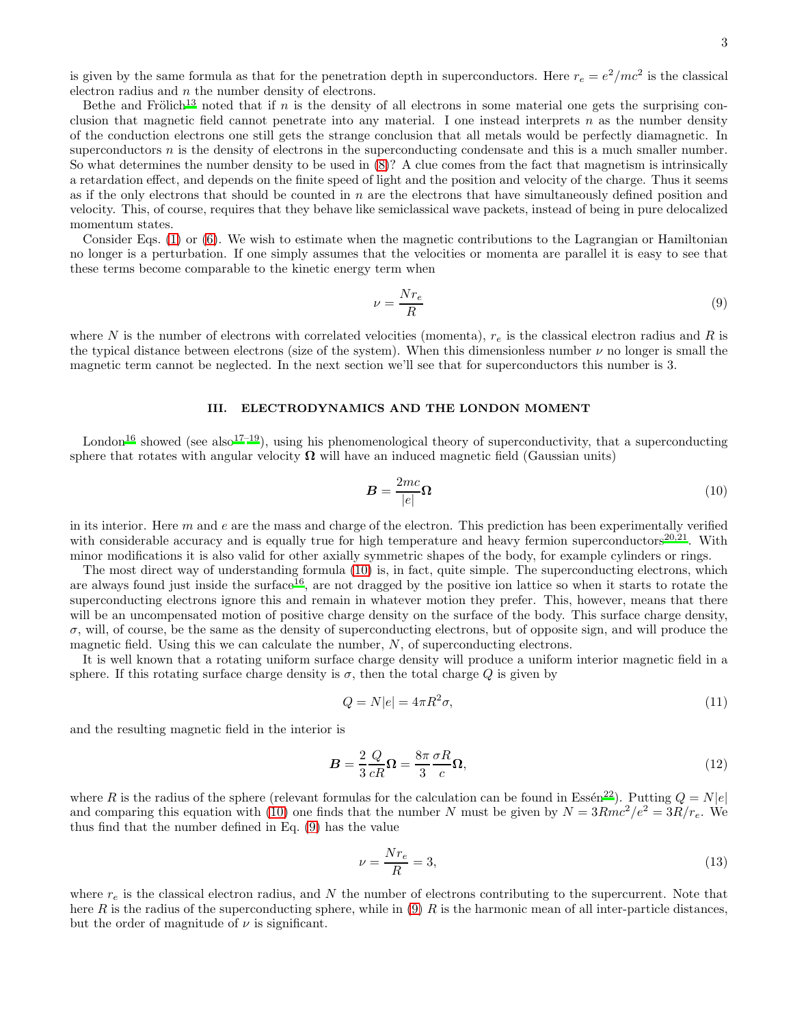is given by the same formula as that for the penetration depth in superconductors. Here  $r_e = e^2/mc^2$  is the classical electron radius and  $n$  the number density of electrons.

Bethe and Frölich<sup>[13](#page-4-2)</sup> noted that if n is the density of all electrons in some material one gets the surprising conclusion that magnetic field cannot penetrate into any material. I one instead interprets  $n$  as the number density of the conduction electrons one still gets the strange conclusion that all metals would be perfectly diamagnetic. In superconductors  $n$  is the density of electrons in the superconducting condensate and this is a much smaller number. So what determines the number density to be used in [\(8\)](#page-1-1)? A clue comes from the fact that magnetism is intrinsically a retardation effect, and depends on the finite speed of light and the position and velocity of the charge. Thus it seems as if the only electrons that should be counted in  $n$  are the electrons that have simultaneously defined position and velocity. This, of course, requires that they behave like semiclassical wave packets, instead of being in pure delocalized momentum states.

Consider Eqs. [\(1\)](#page-1-2) or [\(6\)](#page-1-3). We wish to estimate when the magnetic contributions to the Lagrangian or Hamiltonian no longer is a perturbation. If one simply assumes that the velocities or momenta are parallel it is easy to see that these terms become comparable to the kinetic energy term when

<span id="page-2-1"></span>
$$
\nu = \frac{Nr_e}{R} \tag{9}
$$

where N is the number of electrons with correlated velocities (momenta),  $r_e$  is the classical electron radius and R is the typical distance between electrons (size of the system). When this dimensionless number  $\nu$  no longer is small the magnetic term cannot be neglected. In the next section we'll see that for superconductors this number is 3.

# III. ELECTRODYNAMICS AND THE LONDON MOMENT

London<sup>[16](#page-4-5)</sup> showed (see also<sup>[17](#page-4-6)[–19](#page-4-7)</sup>), using his phenomenological theory of superconductivity, that a superconducting sphere that rotates with angular velocity  $\Omega$  will have an induced magnetic field (Gaussian units)

<span id="page-2-0"></span>
$$
B = \frac{2mc}{|e|}\Omega\tag{10}
$$

in its interior. Here  $m$  and  $e$  are the mass and charge of the electron. This prediction has been experimentally verified with considerable accuracy and is equally true for high temperature and heavy fermion superconductors<sup>[20](#page-4-8)[,21](#page-4-9)</sup>. With minor modifications it is also valid for other axially symmetric shapes of the body, for example cylinders or rings.

The most direct way of understanding formula [\(10\)](#page-2-0) is, in fact, quite simple. The superconducting electrons, which are always found just inside the surface<sup>[16](#page-4-5)</sup>, are not dragged by the positive ion lattice so when it starts to rotate the superconducting electrons ignore this and remain in whatever motion they prefer. This, however, means that there will be an uncompensated motion of positive charge density on the surface of the body. This surface charge density,  $\sigma$ , will, of course, be the same as the density of superconducting electrons, but of opposite sign, and will produce the magnetic field. Using this we can calculate the number,  $N$ , of superconducting electrons.

It is well known that a rotating uniform surface charge density will produce a uniform interior magnetic field in a sphere. If this rotating surface charge density is  $\sigma$ , then the total charge Q is given by

$$
Q = N|e| = 4\pi R^2 \sigma,\tag{11}
$$

and the resulting magnetic field in the interior is

$$
B = \frac{2}{3} \frac{Q}{cR} \Omega = \frac{8\pi}{3} \frac{\sigma R}{c} \Omega,
$$
\n(12)

where R is the radius of the sphere (relevant formulas for the calculation can be found in Essén<sup>[22](#page-4-10)</sup>). Putting  $Q = N|e|$ and comparing this equation with [\(10\)](#page-2-0) one finds that the number N must be given by  $N = 3Rmc^2/e^2 = 3R/r_e$ . We thus find that the number defined in Eq. [\(9\)](#page-2-1) has the value

$$
\nu = \frac{Nr_e}{R} = 3,\tag{13}
$$

where  $r_e$  is the classical electron radius, and N the number of electrons contributing to the supercurrent. Note that here R is the radius of the superconducting sphere, while in  $(9)$  R is the harmonic mean of all inter-particle distances, but the order of magnitude of  $\nu$  is significant.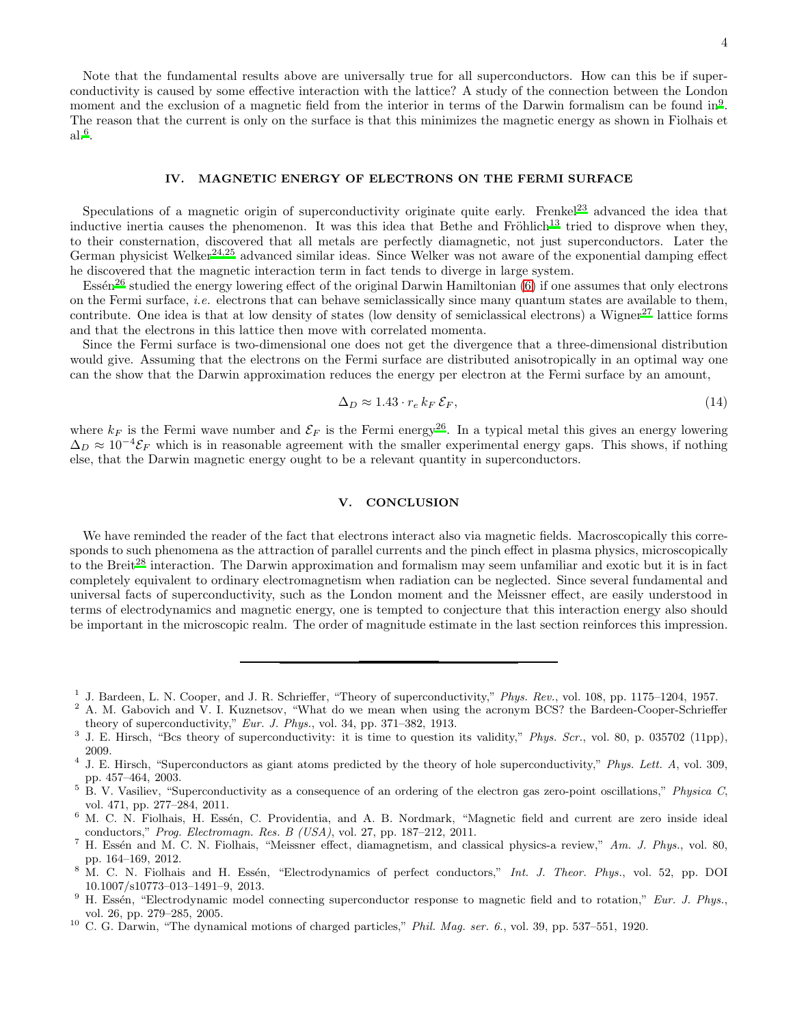Note that the fundamental results above are universally true for all superconductors. How can this be if superconductivity is caused by some effective interaction with the lattice? A study of the connection between the London moment and the exclusion of a magnetic field from the interior in terms of the Darwin formalism can be found in<sup>[9](#page-3-7)</sup>. The reason that the current is only on the surface is that this minimizes the magnetic energy as shown in Fiolhais et  $al.^6$  $al.^6$ .

### IV. MAGNETIC ENERGY OF ELECTRONS ON THE FERMI SURFACE

Speculations of a magnetic origin of superconductivity originate quite early. Frenkel<sup>[23](#page-4-11)</sup> advanced the idea that inductive inertia causes the phenomenon. It was this idea that Bethe and  $Fr\ddot{o}h$ lich<sup>[13](#page-4-2)</sup> tried to disprove when they, to their consternation, discovered that all metals are perfectly diamagnetic, not just superconductors. Later the German physicist Welker<sup>[24](#page-4-12)[,25](#page-4-13)</sup> advanced similar ideas. Since Welker was not aware of the exponential damping effect he discovered that the magnetic interaction term in fact tends to diverge in large system.

Essén<sup>[26](#page-4-14)</sup> studied the energy lowering effect of the original Darwin Hamiltonian  $(6)$  if one assumes that only electrons on the Fermi surface, i.e. electrons that can behave semiclassically since many quantum states are available to them, contribute. One idea is that at low density of states (low density of semiclassical electrons) a Wigner<sup>[27](#page-4-15)</sup> lattice forms and that the electrons in this lattice then move with correlated momenta.

Since the Fermi surface is two-dimensional one does not get the divergence that a three-dimensional distribution would give. Assuming that the electrons on the Fermi surface are distributed anisotropically in an optimal way one can the show that the Darwin approximation reduces the energy per electron at the Fermi surface by an amount,

$$
\Delta_D \approx 1.43 \cdot r_e \, k_F \, \mathcal{E}_F,\tag{14}
$$

where  $k_F$  is the Fermi wave number and  $\mathcal{E}_F$  is the Fermi energy<sup>[26](#page-4-14)</sup>. In a typical metal this gives an energy lowering  $\Delta_D \approx 10^{-4} \mathcal{E}_F$  which is in reasonable agreement with the smaller experimental energy gaps. This shows, if nothing else, that the Darwin magnetic energy ought to be a relevant quantity in superconductors.

### V. CONCLUSION

We have reminded the reader of the fact that electrons interact also via magnetic fields. Macroscopically this corresponds to such phenomena as the attraction of parallel currents and the pinch effect in plasma physics, microscopically to the Breit<sup>[28](#page-4-16)</sup> interaction. The Darwin approximation and formalism may seem unfamiliar and exotic but it is in fact completely equivalent to ordinary electromagnetism when radiation can be neglected. Since several fundamental and universal facts of superconductivity, such as the London moment and the Meissner effect, are easily understood in terms of electrodynamics and magnetic energy, one is tempted to conjecture that this interaction energy also should be important in the microscopic realm. The order of magnitude estimate in the last section reinforces this impression.

- <span id="page-3-7"></span> $9$  H. Essén, "Electrodynamic model connecting superconductor response to magnetic field and to rotation," *Eur. J. Phys.*, vol. 26, pp. 279–285, 2005.
- <span id="page-3-8"></span><sup>10</sup> C. G. Darwin, "The dynamical motions of charged particles," *Phil. Mag. ser. 6.*, vol. 39, pp. 537–551, 1920.

<span id="page-3-0"></span><sup>&</sup>lt;sup>1</sup> J. Bardeen, L. N. Cooper, and J. R. Schrieffer, "Theory of superconductivity," *Phys. Rev.*, vol. 108, pp. 1175–1204, 1957.

<span id="page-3-1"></span><sup>&</sup>lt;sup>2</sup> A. M. Gabovich and V. I. Kuznetsov, "What do we mean when using the acronym BCS? the Bardeen-Cooper-Schrieffer theory of superconductivity," *Eur. J. Phys.*, vol. 34, pp. 371–382, 1913.

<span id="page-3-2"></span><sup>3</sup> J. E. Hirsch, "Bcs theory of superconductivity: it is time to question its validity," *Phys. Scr.*, vol. 80, p. 035702 (11pp), 2009.

<span id="page-3-3"></span><sup>4</sup> J. E. Hirsch, "Superconductors as giant atoms predicted by the theory of hole superconductivity," *Phys. Lett. A*, vol. 309, pp. 457–464, 2003.

<span id="page-3-4"></span><sup>5</sup> B. V. Vasiliev, "Superconductivity as a consequence of an ordering of the electron gas zero-point oscillations," *Physica C*, vol. 471, pp. 277–284, 2011.

<span id="page-3-5"></span><sup>&</sup>lt;sup>6</sup> M. C. N. Fiolhais, H. Essén, C. Providentia, and A. B. Nordmark, "Magnetic field and current are zero inside ideal conductors," *Prog. Electromagn. Res. B (USA)*, vol. 27, pp. 187–212, 2011.

<sup>&</sup>lt;sup>7</sup> H. Essén and M. C. N. Fiolhais, "Meissner effect, diamagnetism, and classical physics-a review," Am. J. Phys., vol. 80, pp. 164–169, 2012.

<span id="page-3-6"></span><sup>8</sup> M. C. N. Fiolhais and H. Essén, "Electrodynamics of perfect conductors," *Int. J. Theor. Phys.*, vol. 52, pp. DOI 10.1007/s10773–013–1491–9, 2013.